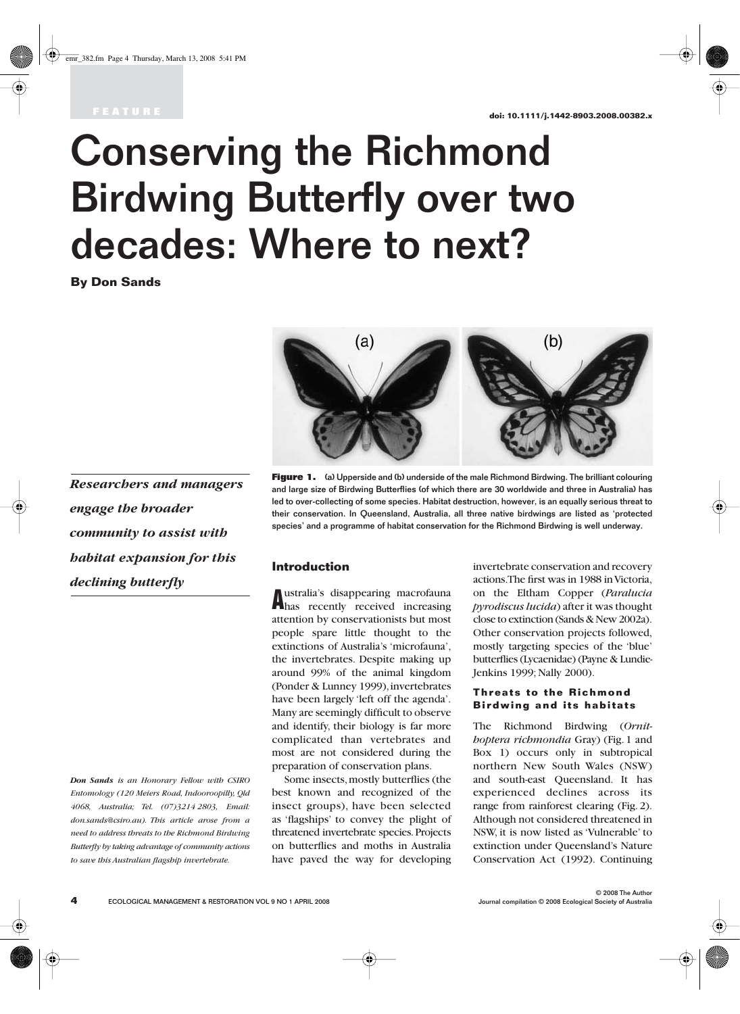# **Conserving the Richmond** Birdwing Butterfly over two decades: Where to next?

**By Don Sands**



*Researchers and managers engage the broader community to assist with habitat expansion for this declining butterfly*

*Don Sands is an Honorary Fellow with CSIRO Entomology (120 Meiers Road, Indooroopilly, Qld 4068, Australia; Tel. (07)3214 2803, Email: don.sands@csiro.au). This article arose from a need to address threats to the Richmond Birdwing Butterfly by taking advantage of community actions to save this Australian flagship invertebrate.*

**Figure 1.** (a) Upperside and (b) underside of the male Richmond Birdwing. The brilliant colouring and large size of Birdwing Butterflies (of which there are 30 worldwide and three in Australia) has led to over-collecting of some species. Habitat destruction, however, is an equally serious threat to their conservation. In Queensland, Australia, all three native birdwings are listed as 'protected species' and a programme of habitat conservation for the Richmond Birdwing is well underway.

# **Introduction**

**A**ustralia's disappearing macrofauna<br>
has recently received increasing ustralia's disappearing macrofauna attention by conservationists but most people spare little thought to the extinctions of Australia's 'microfauna', the invertebrates. Despite making up around 99% of the animal kingdom (Ponder & Lunney 1999), invertebrates have been largely 'left off the agenda'. Many are seemingly difficult to observe and identify, their biology is far more complicated than vertebrates and most are not considered during the preparation of conservation plans.

Some insects, mostly butterflies (the best known and recognized of the insect groups), have been selected as 'flagships' to convey the plight of threatened invertebrate species. Projects on butterflies and moths in Australia have paved the way for developing

invertebrate conservation and recovery actions. The first was in 1988 in Victoria, on the Eltham Copper (*Paralucia pyrodiscus lucida*) after it was thought close to extinction (Sands & New 2002a). Other conservation projects followed, mostly targeting species of the 'blue' butterflies (Lycaenidae) (Payne & Lundie-Jenkins 1999; Nally 2000).

#### **Threats to the Richmond Birdwing and its habitats**

The Richmond Birdwing (*Ornithoptera richmondia* Gray) (Fig. 1 and Box 1) occurs only in subtropical northern New South Wales (NSW) and south-east Queensland. It has experienced declines across its range from rainforest clearing (Fig. 2). Although not considered threatened in NSW, it is now listed as 'Vulnerable' to extinction under Queensland's Nature Conservation Act (1992). Continuing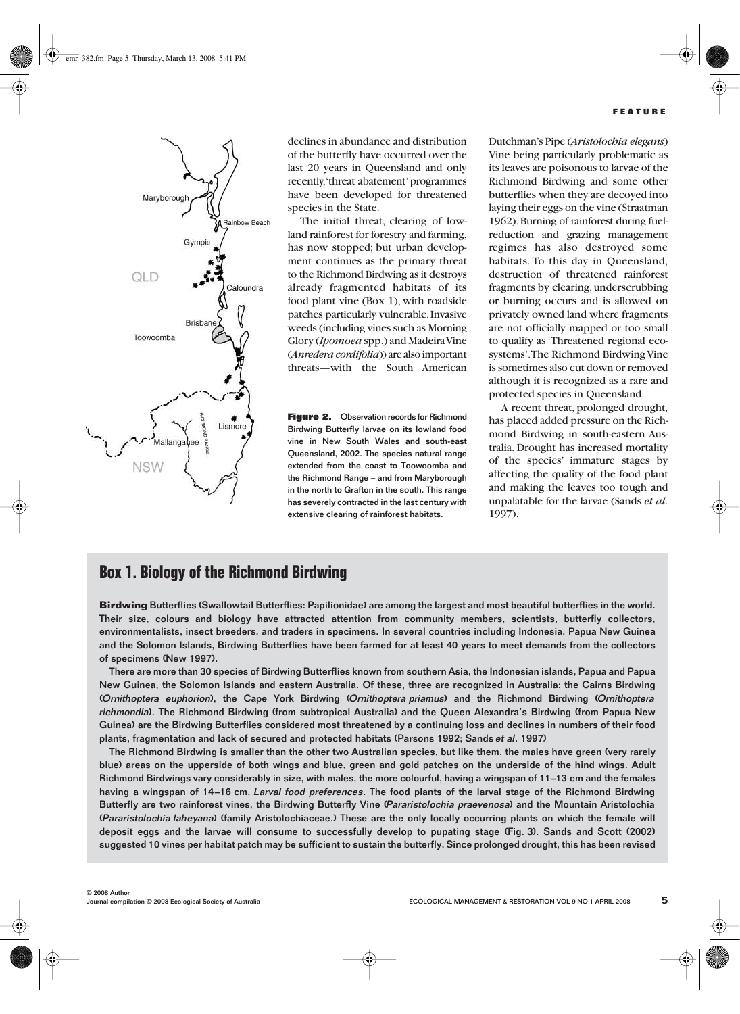

declines in abundance and distribution of the butterfly have occurred over the last 20 years in Queensland and only recently, 'threat abatement' programmes have been developed for threatened species in the State.

The initial threat, clearing of lowland rainforest for forestry and farming, has now stopped; but urban development continues as the primary threat to the Richmond Birdwing as it destroys already fragmented habitats of its food plant vine (Box 1), with roadside patches particularly vulnerable. Invasive weeds (including vines such as Morning Glory (*Ipomoea* spp.) and Madeira Vine (*Anredera cordifolia*)) are also important threats—with the South American

**Figure 2.** Observation records for Richmond Birdwing Butterfly larvae on its lowland food vine in New South Wales and south-east Queensland, 2002. The species natural range extended from the coast to Toowoomba and the Richmond Range – and from Maryborough in the north to Grafton in the south. This range has severely contracted in the last century with extensive clearing of rainforest habitats.

Dutchman's Pipe (*Aristolochia elegans*) Vine being particularly problematic as its leaves are poisonous to larvae of the Richmond Birdwing and some other butterflies when they are decoyed into laying their eggs on the vine (Straatman 1962). Burning of rainforest during fuelreduction and grazing management regimes has also destroyed some habitats. To this day in Queensland, destruction of threatened rainforest fragments by clearing, underscrubbing or burning occurs and is allowed on privately owned land where fragments are not officially mapped or too small to qualify as 'Threatened regional ecosystems'. The Richmond Birdwing Vine is sometimes also cut down or removed although it is recognized as a rare and protected species in Queensland.

A recent threat, prolonged drought, has placed added pressure on the Richmond Birdwing in south-eastern Australia. Drought has increased mortality of the species' immature stages by affecting the quality of the food plant and making the leaves too tough and unpalatable for the larvae (Sands *et al*. 1997).

# **Box 1. Biology of the Richmond Birdwing**

**Birdwing** Butterflies (Swallowtail Butterflies: Papilionidae) are among the largest and most beautiful butterflies in the world. Their size, colours and biology have attracted attention from community members, scientists, butterfly collectors, environmentalists, insect breeders, and traders in specimens. In several countries including Indonesia, Papua New Guinea and the Solomon Islands, Birdwing Butterflies have been farmed for at least 40 years to meet demands from the collectors of specimens (New 1997).

There are more than 30 species of Birdwing Butterflies known from southern Asia, the Indonesian islands, Papua and Papua New Guinea, the Solomon Islands and eastern Australia. Of these, three are recognized in Australia: the Cairns Birdwing (*Ornithoptera euphorion*), the Cape York Birdwing (*Ornithoptera priamus*) and the Richmond Birdwing (*Ornithoptera richmondia*). The Richmond Birdwing (from subtropical Australia) and the Queen Alexandra's Birdwing (from Papua New Guinea) are the Birdwing Butterflies considered most threatened by a continuing loss and declines in numbers of their food plants, fragmentation and lack of secured and protected habitats (Parsons 1992; Sands *et al*. 1997)

The Richmond Birdwing is smaller than the other two Australian species, but like them, the males have green (very rarely blue) areas on the upperside of both wings and blue, green and gold patches on the underside of the hind wings. Adult Richmond Birdwings vary considerably in size, with males, the more colourful, having a wingspan of 11–13 cm and the females having a wingspan of 14–16 cm. *Larval food preferences.* The food plants of the larval stage of the Richmond Birdwing Butterfly are two rainforest vines, the Birdwing Butterfly Vine (*Pararistolochia praevenosa*) and the Mountain Aristolochia (*Pararistolochia laheyana*) (family Aristolochiaceae.) These are the only locally occurring plants on which the female will deposit eggs and the larvae will consume to successfully develop to pupating stage (Fig. 3). Sands and Scott (2002) suggested 10 vines per habitat patch may be sufficient to sustain the butterfly. Since prolonged drought, this has been revised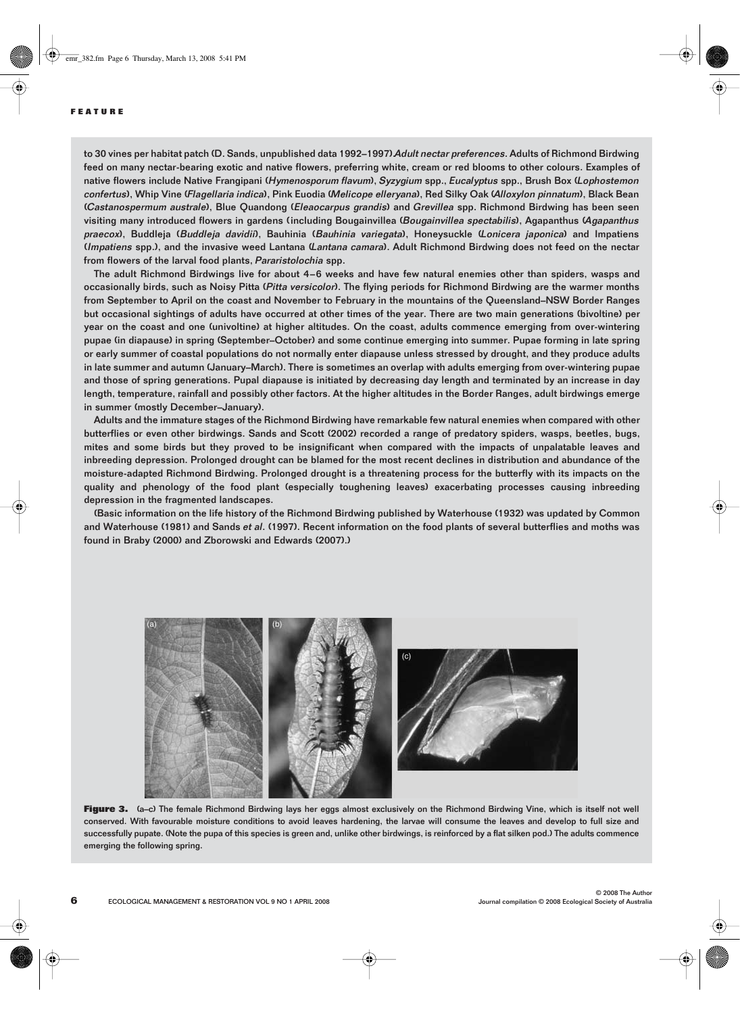to 30 vines per habitat patch (D. Sands, unpublished data 1992–1997).*Adult nectar preferences*. Adults of Richmond Birdwing feed on many nectar-bearing exotic and native flowers, preferring white, cream or red blooms to other colours. Examples of native flowers include Native Frangipani (*Hymenosporum flavum*), *Syzygium* spp., *Eucalyptus* spp., Brush Box (*Lophostemon confertus*), Whip Vine (*Flagellaria indica*), Pink Euodia (*Melicope elleryana*), Red Silky Oak (*Alloxylon pinnatum*), Black Bean (*Castanospermum australe*), Blue Quandong (*Eleaocarpus grandis*) and *Grevillea* spp. Richmond Birdwing has been seen visiting many introduced flowers in gardens (including Bougainvillea (*Bougainvillea spectabilis*), Agapanthus (*Agapanthus praecox*), Buddleja (*Buddleja davidii*), Bauhinia (*Bauhinia variegata*), Honeysuckle (*Lonicera japonica*) and Impatiens (*Impatiens* spp.), and the invasive weed Lantana (*Lantana camara*). Adult Richmond Birdwing does not feed on the nectar from flowers of the larval food plants, *Pararistolochia* spp.

The adult Richmond Birdwings live for about 4–6 weeks and have few natural enemies other than spiders, wasps and occasionally birds, such as Noisy Pitta (*Pitta versicolor*). The flying periods for Richmond Birdwing are the warmer months from September to April on the coast and November to February in the mountains of the Queensland–NSW Border Ranges but occasional sightings of adults have occurred at other times of the year. There are two main generations (bivoltine) per year on the coast and one (univoltine) at higher altitudes. On the coast, adults commence emerging from over-wintering pupae (in diapause) in spring (September–October) and some continue emerging into summer. Pupae forming in late spring or early summer of coastal populations do not normally enter diapause unless stressed by drought, and they produce adults in late summer and autumn (January–March). There is sometimes an overlap with adults emerging from over-wintering pupae and those of spring generations. Pupal diapause is initiated by decreasing day length and terminated by an increase in day length, temperature, rainfall and possibly other factors. At the higher altitudes in the Border Ranges, adult birdwings emerge in summer (mostly December–January).

Adults and the immature stages of the Richmond Birdwing have remarkable few natural enemies when compared with other butterflies or even other birdwings. Sands and Scott (2002) recorded a range of predatory spiders, wasps, beetles, bugs, mites and some birds but they proved to be insignificant when compared with the impacts of unpalatable leaves and inbreeding depression. Prolonged drought can be blamed for the most recent declines in distribution and abundance of the moisture-adapted Richmond Birdwing. Prolonged drought is a threatening process for the butterfly with its impacts on the quality and phenology of the food plant (especially toughening leaves) exacerbating processes causing inbreeding depression in the fragmented landscapes.

(Basic information on the life history of the Richmond Birdwing published by Waterhouse (1932) was updated by Common and Waterhouse (1981) and Sands *et al*. (1997). Recent information on the food plants of several butterflies and moths was found in Braby (2000) and Zborowski and Edwards (2007).)



Figure 3. (a-c) The female Richmond Birdwing lays her eggs almost exclusively on the Richmond Birdwing Vine, which is itself not well conserved. With favourable moisture conditions to avoid leaves hardening, the larvae will consume the leaves and develop to full size and successfully pupate. (Note the pupa of this species is green and, unlike other birdwings, is reinforced by a flat silken pod.) The adults commence emerging the following spring.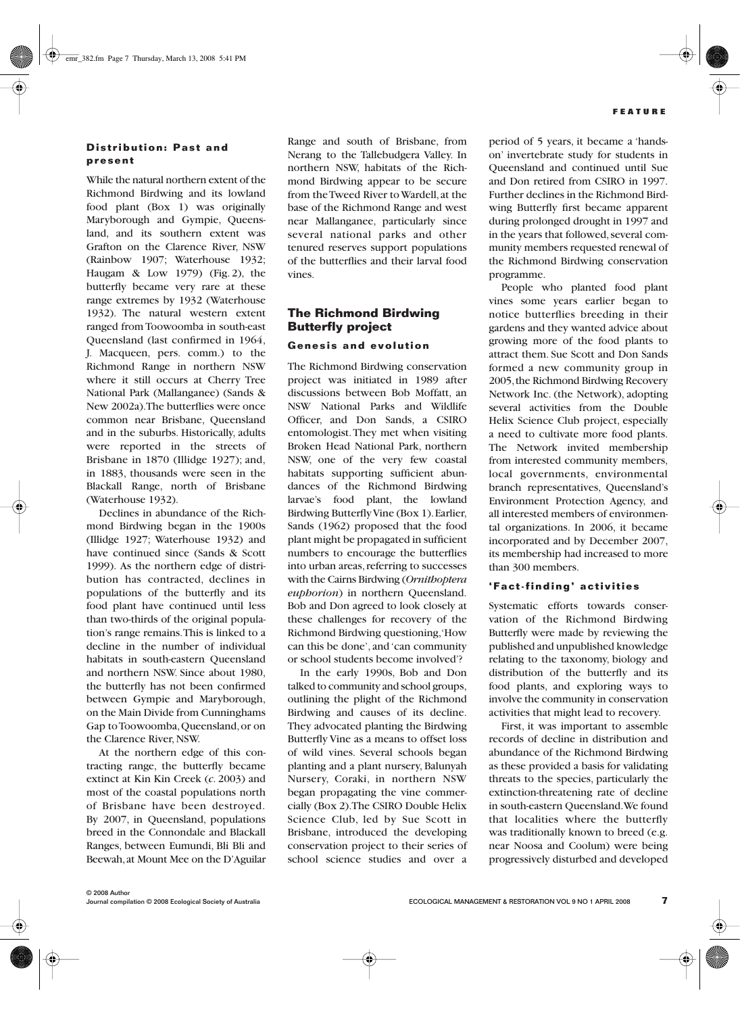# **Distribution: Past and present**

While the natural northern extent of the Richmond Birdwing and its lowland food plant (Box 1) was originally Maryborough and Gympie, Queensland, and its southern extent was Grafton on the Clarence River, NSW (Rainbow 1907; Waterhouse 1932; Haugam & Low 1979) (Fig. 2), the butterfly became very rare at these range extremes by 1932 (Waterhouse 1932). The natural western extent ranged from Toowoomba in south-east Queensland (last confirmed in 1964, J. Macqueen, pers. comm.) to the Richmond Range in northern NSW where it still occurs at Cherry Tree National Park (Mallanganee) (Sands & New 2002a). The butterflies were once common near Brisbane, Queensland and in the suburbs. Historically, adults were reported in the streets of Brisbane in 1870 (Illidge 1927); and, in 1883, thousands were seen in the Blackall Range, north of Brisbane (Waterhouse 1932).

Declines in abundance of the Richmond Birdwing began in the 1900s (Illidge 1927; Waterhouse 1932) and have continued since (Sands & Scott 1999). As the northern edge of distribution has contracted, declines in populations of the butterfly and its food plant have continued until less than two-thirds of the original population's range remains. This is linked to a decline in the number of individual habitats in south-eastern Queensland and northern NSW. Since about 1980, the butterfly has not been confirmed between Gympie and Maryborough, on the Main Divide from Cunninghams Gap to Toowoomba, Queensland, or on the Clarence River, NSW.

At the northern edge of this contracting range, the butterfly became extinct at Kin Kin Creek (*c*. 2003) and most of the coastal populations north of Brisbane have been destroyed. By 2007, in Queensland, populations breed in the Connondale and Blackall Ranges, between Eumundi, Bli Bli and Beewah, at Mount Mee on the D'Aguilar

Range and south of Brisbane, from Nerang to the Tallebudgera Valley. In northern NSW, habitats of the Richmond Birdwing appear to be secure from the Tweed River to Wardell, at the base of the Richmond Range and west near Mallanganee, particularly since several national parks and other tenured reserves support populations of the butterflies and their larval food vines.

# **The Richmond Birdwing Butterfly project**

# **Genesis and evolution**

The Richmond Birdwing conservation project was initiated in 1989 after discussions between Bob Moffatt, an NSW National Parks and Wildlife Officer, and Don Sands, a CSIRO entomologist. They met when visiting Broken Head National Park, northern NSW, one of the very few coastal habitats supporting sufficient abundances of the Richmond Birdwing larvae's food plant, the lowland Birdwing Butterfly Vine (Box 1). Earlier, Sands (1962) proposed that the food plant might be propagated in sufficient numbers to encourage the butterflies into urban areas, referring to successes with the Cairns Birdwing (*Ornithoptera euphorion*) in northern Queensland. Bob and Don agreed to look closely at these challenges for recovery of the Richmond Birdwing questioning, 'How can this be done', and 'can community or school students become involved'?

In the early 1990s, Bob and Don talked to community and school groups, outlining the plight of the Richmond Birdwing and causes of its decline. They advocated planting the Birdwing Butterfly Vine as a means to offset loss of wild vines. Several schools began planting and a plant nursery, Balunyah Nursery, Coraki, in northern NSW began propagating the vine commercially (Box 2). The CSIRO Double Helix Science Club, led by Sue Scott in Brisbane, introduced the developing conservation project to their series of school science studies and over a

period of 5 years, it became a 'handson' invertebrate study for students in Queensland and continued until Sue and Don retired from CSIRO in 1997. Further declines in the Richmond Birdwing Butterfly first became apparent during prolonged drought in 1997 and in the years that followed, several community members requested renewal of the Richmond Birdwing conservation programme.

People who planted food plant vines some years earlier began to notice butterflies breeding in their gardens and they wanted advice about growing more of the food plants to attract them. Sue Scott and Don Sands formed a new community group in 2005, the Richmond Birdwing Recovery Network Inc. (the Network), adopting several activities from the Double Helix Science Club project, especially a need to cultivate more food plants. The Network invited membership from interested community members, local governments, environmental branch representatives, Queensland's Environment Protection Agency, and all interested members of environmental organizations. In 2006, it became incorporated and by December 2007, its membership had increased to more than 300 members.

#### **'Fact-finding' activities**

Systematic efforts towards conservation of the Richmond Birdwing Butterfly were made by reviewing the published and unpublished knowledge relating to the taxonomy, biology and distribution of the butterfly and its food plants, and exploring ways to involve the community in conservation activities that might lead to recovery.

First, it was important to assemble records of decline in distribution and abundance of the Richmond Birdwing as these provided a basis for validating threats to the species, particularly the extinction-threatening rate of decline in south-eastern Queensland. We found that localities where the butterfly was traditionally known to breed (e.g. near Noosa and Coolum) were being progressively disturbed and developed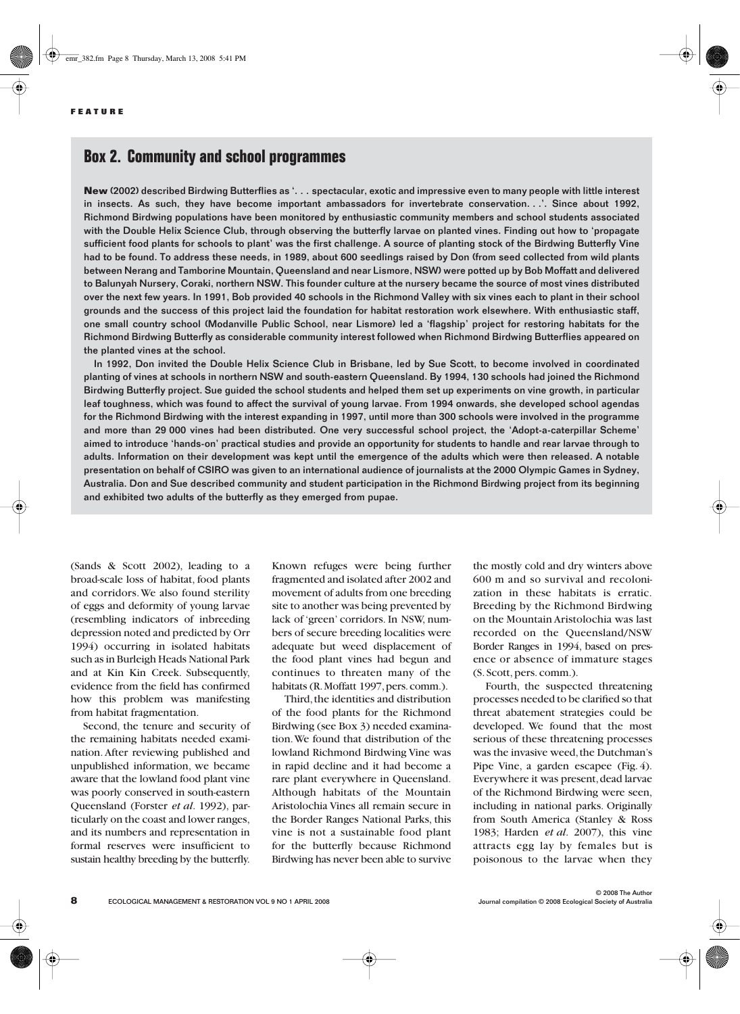# **Box 2. Community and school programmes**

**New** (2002) described Birdwing Butterflies as '. . . spectacular, exotic and impressive even to many people with little interest in insects. As such, they have become important ambassadors for invertebrate conservation. . .'. Since about 1992, Richmond Birdwing populations have been monitored by enthusiastic community members and school students associated with the Double Helix Science Club, through observing the butterfly larvae on planted vines. Finding out how to 'propagate sufficient food plants for schools to plant' was the first challenge. A source of planting stock of the Birdwing Butterfly Vine had to be found. To address these needs, in 1989, about 600 seedlings raised by Don (from seed collected from wild plants between Nerang and Tamborine Mountain, Queensland and near Lismore, NSW) were potted up by Bob Moffatt and delivered to Balunyah Nursery, Coraki, northern NSW. This founder culture at the nursery became the source of most vines distributed over the next few years. In 1991, Bob provided 40 schools in the Richmond Valley with six vines each to plant in their school grounds and the success of this project laid the foundation for habitat restoration work elsewhere. With enthusiastic staff, one small country school (Modanville Public School, near Lismore) led a 'flagship' project for restoring habitats for the Richmond Birdwing Butterfly as considerable community interest followed when Richmond Birdwing Butterflies appeared on the planted vines at the school.

In 1992, Don invited the Double Helix Science Club in Brisbane, led by Sue Scott, to become involved in coordinated planting of vines at schools in northern NSW and south-eastern Queensland. By 1994, 130 schools had joined the Richmond Birdwing Butterfly project. Sue guided the school students and helped them set up experiments on vine growth, in particular leaf toughness, which was found to affect the survival of young larvae. From 1994 onwards, she developed school agendas for the Richmond Birdwing with the interest expanding in 1997, until more than 300 schools were involved in the programme and more than 29 000 vines had been distributed. One very successful school project, the 'Adopt-a-caterpillar Scheme' aimed to introduce 'hands-on' practical studies and provide an opportunity for students to handle and rear larvae through to adults. Information on their development was kept until the emergence of the adults which were then released. A notable presentation on behalf of CSIRO was given to an international audience of journalists at the 2000 Olympic Games in Sydney, Australia. Don and Sue described community and student participation in the Richmond Birdwing project from its beginning and exhibited two adults of the butterfly as they emerged from pupae.

(Sands & Scott 2002), leading to a broad-scale loss of habitat, food plants and corridors. We also found sterility of eggs and deformity of young larvae (resembling indicators of inbreeding depression noted and predicted by Orr 1994) occurring in isolated habitats such as in Burleigh Heads National Park and at Kin Kin Creek. Subsequently, evidence from the field has confirmed how this problem was manifesting from habitat fragmentation.

Second, the tenure and security of the remaining habitats needed examination. After reviewing published and unpublished information, we became aware that the lowland food plant vine was poorly conserved in south-eastern Queensland (Forster *et al*. 1992), particularly on the coast and lower ranges, and its numbers and representation in formal reserves were insufficient to sustain healthy breeding by the butterfly.

Known refuges were being further fragmented and isolated after 2002 and movement of adults from one breeding site to another was being prevented by lack of 'green' corridors. In NSW, numbers of secure breeding localities were adequate but weed displacement of the food plant vines had begun and continues to threaten many of the habitats (R. Moffatt 1997, pers. comm.).

Third, the identities and distribution of the food plants for the Richmond Birdwing (see Box 3) needed examination. We found that distribution of the lowland Richmond Birdwing Vine was in rapid decline and it had become a rare plant everywhere in Queensland. Although habitats of the Mountain Aristolochia Vines all remain secure in the Border Ranges National Parks, this vine is not a sustainable food plant for the butterfly because Richmond Birdwing has never been able to survive

the mostly cold and dry winters above 600 m and so survival and recolonization in these habitats is erratic. Breeding by the Richmond Birdwing on the Mountain Aristolochia was last recorded on the Queensland/NSW Border Ranges in 1994, based on presence or absence of immature stages (S. Scott, pers. comm.).

Fourth, the suspected threatening processes needed to be clarified so that threat abatement strategies could be developed. We found that the most serious of these threatening processes was the invasive weed, the Dutchman's Pipe Vine, a garden escapee (Fig. 4). Everywhere it was present, dead larvae of the Richmond Birdwing were seen, including in national parks. Originally from South America (Stanley & Ross 1983; Harden *et al*. 2007), this vine attracts egg lay by females but is poisonous to the larvae when they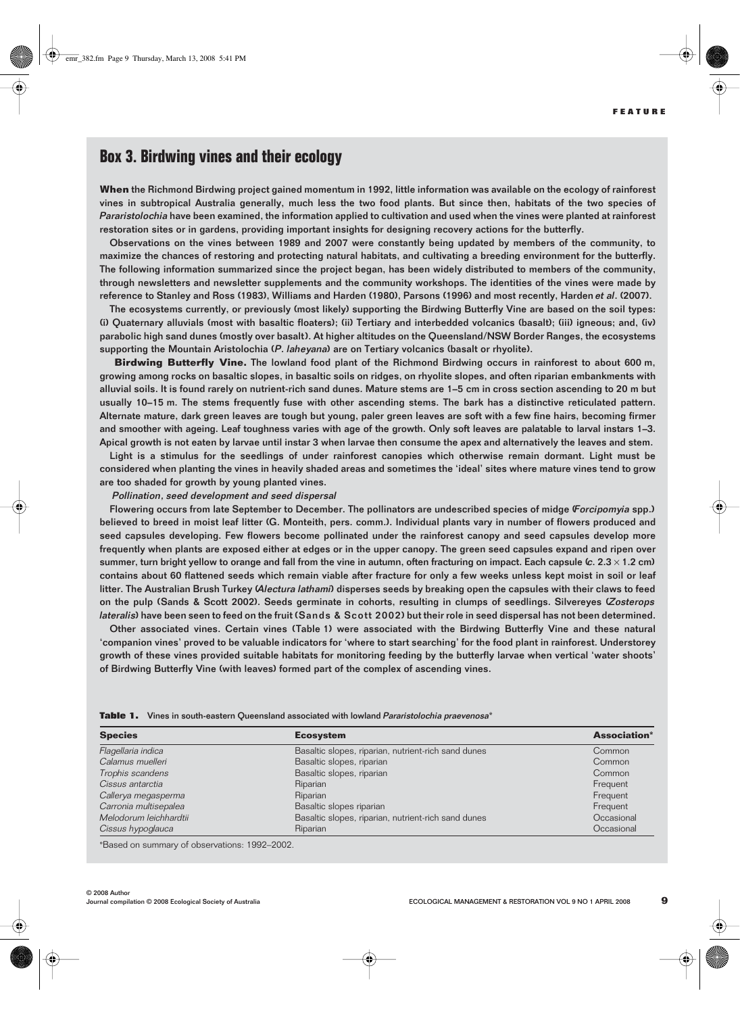# **Box 3. Birdwing vines and their ecology**

**When** the Richmond Birdwing project gained momentum in 1992, little information was available on the ecology of rainforest vines in subtropical Australia generally, much less the two food plants. But since then, habitats of the two species of *Pararistolochia* have been examined, the information applied to cultivation and used when the vines were planted at rainforest restoration sites or in gardens, providing important insights for designing recovery actions for the butterfly.

Observations on the vines between 1989 and 2007 were constantly being updated by members of the community, to maximize the chances of restoring and protecting natural habitats, and cultivating a breeding environment for the butterfly. The following information summarized since the project began, has been widely distributed to members of the community, through newsletters and newsletter supplements and the community workshops. The identities of the vines were made by reference to Stanley and Ross (1983), Williams and Harden (1980), Parsons (1996) and most recently, Harden *et al*. (2007).

The ecosystems currently, or previously (most likely) supporting the Birdwing Butterfly Vine are based on the soil types: (i) Quaternary alluvials (most with basaltic floaters); (ii) Tertiary and interbedded volcanics (basalt); (iii) igneous; and, (iv) parabolic high sand dunes (mostly over basalt). At higher altitudes on the Queensland/NSW Border Ranges, the ecosystems supporting the Mountain Aristolochia (*P. laheyana*) are on Tertiary volcanics (basalt or rhyolite).

**Birdwing Butterfly Vine.** The lowland food plant of the Richmond Birdwing occurs in rainforest to about 600 m, growing among rocks on basaltic slopes, in basaltic soils on ridges, on rhyolite slopes, and often riparian embankments with alluvial soils. It is found rarely on nutrient-rich sand dunes. Mature stems are 1–5 cm in cross section ascending to 20 m but usually 10–15 m. The stems frequently fuse with other ascending stems. The bark has a distinctive reticulated pattern. Alternate mature, dark green leaves are tough but young, paler green leaves are soft with a few fine hairs, becoming firmer and smoother with ageing. Leaf toughness varies with age of the growth. Only soft leaves are palatable to larval instars 1–3. Apical growth is not eaten by larvae until instar 3 when larvae then consume the apex and alternatively the leaves and stem.

Light is a stimulus for the seedlings of under rainforest canopies which otherwise remain dormant. Light must be considered when planting the vines in heavily shaded areas and sometimes the 'ideal' sites where mature vines tend to grow are too shaded for growth by young planted vines.

 *Pollination, seed development and seed dispersal*

Flowering occurs from late September to December. The pollinators are undescribed species of midge (*Forcipomyia* spp.) believed to breed in moist leaf litter (G. Monteith, pers. comm.). Individual plants vary in number of flowers produced and seed capsules developing. Few flowers become pollinated under the rainforest canopy and seed capsules develop more frequently when plants are exposed either at edges or in the upper canopy. The green seed capsules expand and ripen over summer, turn bright yellow to orange and fall from the vine in autumn, often fracturing on impact. Each capsule (*c*. 2.3 × 1.2 cm) contains about 60 flattened seeds which remain viable after fracture for only a few weeks unless kept moist in soil or leaf litter. The Australian Brush Turkey (*Alectura lathami*) disperses seeds by breaking open the capsules with their claws to feed on the pulp (Sands & Scott 2002). Seeds germinate in cohorts, resulting in clumps of seedlings. Silvereyes (*Zosterops lateralis*) have been seen to feed on the fruit (Sands & Scott 2002) but their role in seed dispersal has not been determined.

Other associated vines. Certain vines (Table 1) were associated with the Birdwing Butterfly Vine and these natural 'companion vines' proved to be valuable indicators for 'where to start searching' for the food plant in rainforest. Understorey growth of these vines provided suitable habitats for monitoring feeding by the butterfly larvae when vertical 'water shoots' of Birdwing Butterfly Vine (with leaves) formed part of the complex of ascending vines.

| <b>Species</b>         | <b>Ecosystem</b>                                    | <b>Association*</b> |
|------------------------|-----------------------------------------------------|---------------------|
| Flagellaria indica     | Basaltic slopes, riparian, nutrient-rich sand dunes | Common              |
| Calamus muelleri       | Basaltic slopes, riparian                           | Common              |
| Trophis scandens       | Basaltic slopes, riparian                           | Common              |
| Cissus antarctia       | Riparian                                            | Frequent            |
| Callerya megasperma    | Riparian                                            | Frequent            |
| Carronia multisepalea  | Basaltic slopes riparian                            | Frequent            |
| Melodorum leichhardtii | Basaltic slopes, riparian, nutrient-rich sand dunes | Occasional          |
| Cissus hypoglauca      | Riparian                                            | Occasional          |

**Table 1.** Vines in south-eastern Queensland associated with lowland *Pararistolochia praevenosa*\*

\*Based on summary of observations: 1992–2002.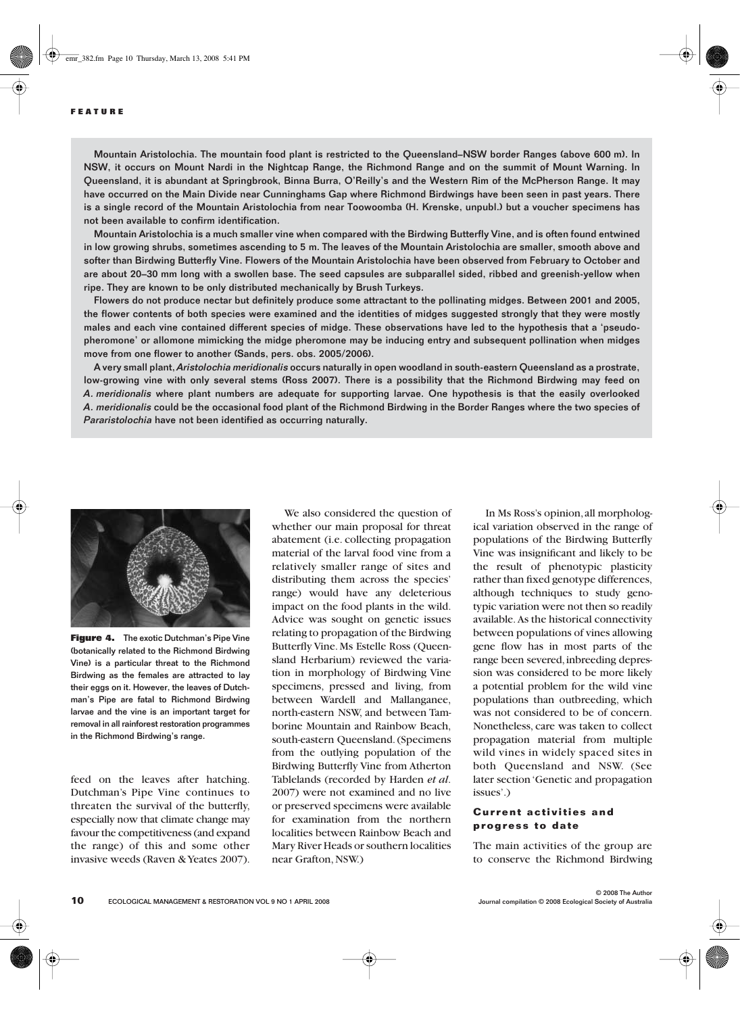Mountain Aristolochia. The mountain food plant is restricted to the Queensland–NSW border Ranges (above 600 m). In NSW, it occurs on Mount Nardi in the Nightcap Range, the Richmond Range and on the summit of Mount Warning. In Queensland, it is abundant at Springbrook, Binna Burra, O'Reilly's and the Western Rim of the McPherson Range. It may have occurred on the Main Divide near Cunninghams Gap where Richmond Birdwings have been seen in past years. There is a single record of the Mountain Aristolochia from near Toowoomba (H. Krenske, unpubl.) but a voucher specimens has not been available to confirm identification.

Mountain Aristolochia is a much smaller vine when compared with the Birdwing Butterfly Vine, and is often found entwined in low growing shrubs, sometimes ascending to 5 m. The leaves of the Mountain Aristolochia are smaller, smooth above and softer than Birdwing Butterfly Vine. Flowers of the Mountain Aristolochia have been observed from February to October and are about 20–30 mm long with a swollen base. The seed capsules are subparallel sided, ribbed and greenish-yellow when ripe. They are known to be only distributed mechanically by Brush Turkeys.

Flowers do not produce nectar but definitely produce some attractant to the pollinating midges. Between 2001 and 2005, the flower contents of both species were examined and the identities of midges suggested strongly that they were mostly males and each vine contained different species of midge. These observations have led to the hypothesis that a 'pseudopheromone' or allomone mimicking the midge pheromone may be inducing entry and subsequent pollination when midges move from one flower to another (Sands, pers. obs. 2005/2006).

A very small plant, *Aristolochia meridionalis* occurs naturally in open woodland in south-eastern Queensland as a prostrate, low-growing vine with only several stems (Ross 2007). There is a possibility that the Richmond Birdwing may feed on *A. meridionalis* where plant numbers are adequate for supporting larvae. One hypothesis is that the easily overlooked *A. meridionalis* could be the occasional food plant of the Richmond Birdwing in the Border Ranges where the two species of *Pararistolochia* have not been identified as occurring naturally.



**Figure 4.** The exotic Dutchman's Pipe Vine (botanically related to the Richmond Birdwing Vine) is a particular threat to the Richmond Birdwing as the females are attracted to lay their eggs on it. However, the leaves of Dutchman's Pipe are fatal to Richmond Birdwing larvae and the vine is an important target for removal in all rainforest restoration programmes in the Richmond Birdwing's range.

feed on the leaves after hatching. Dutchman's Pipe Vine continues to threaten the survival of the butterfly, especially now that climate change may favour the competitiveness (and expand the range) of this and some other invasive weeds (Raven & Yeates 2007).

We also considered the question of whether our main proposal for threat abatement (i.e. collecting propagation material of the larval food vine from a relatively smaller range of sites and distributing them across the species' range) would have any deleterious impact on the food plants in the wild. Advice was sought on genetic issues relating to propagation of the Birdwing Butterfly Vine. Ms Estelle Ross (Queensland Herbarium) reviewed the variation in morphology of Birdwing Vine specimens, pressed and living, from between Wardell and Mallanganee, north-eastern NSW, and between Tamborine Mountain and Rainbow Beach, south-eastern Queensland. (Specimens from the outlying population of the Birdwing Butterfly Vine from Atherton Tablelands (recorded by Harden *et al*. 2007) were not examined and no live or preserved specimens were available for examination from the northern localities between Rainbow Beach and Mary River Heads or southern localities near Grafton, NSW.)

In Ms Ross's opinion, all morphological variation observed in the range of populations of the Birdwing Butterfly Vine was insignificant and likely to be the result of phenotypic plasticity rather than fixed genotype differences, although techniques to study genotypic variation were not then so readily available. As the historical connectivity between populations of vines allowing gene flow has in most parts of the range been severed, inbreeding depression was considered to be more likely a potential problem for the wild vine populations than outbreeding, which was not considered to be of concern. Nonetheless, care was taken to collect propagation material from multiple wild vines in widely spaced sites in both Queensland and NSW. (See later section 'Genetic and propagation issues'.)

# **Current activities and progress to date**

The main activities of the group are to conserve the Richmond Birdwing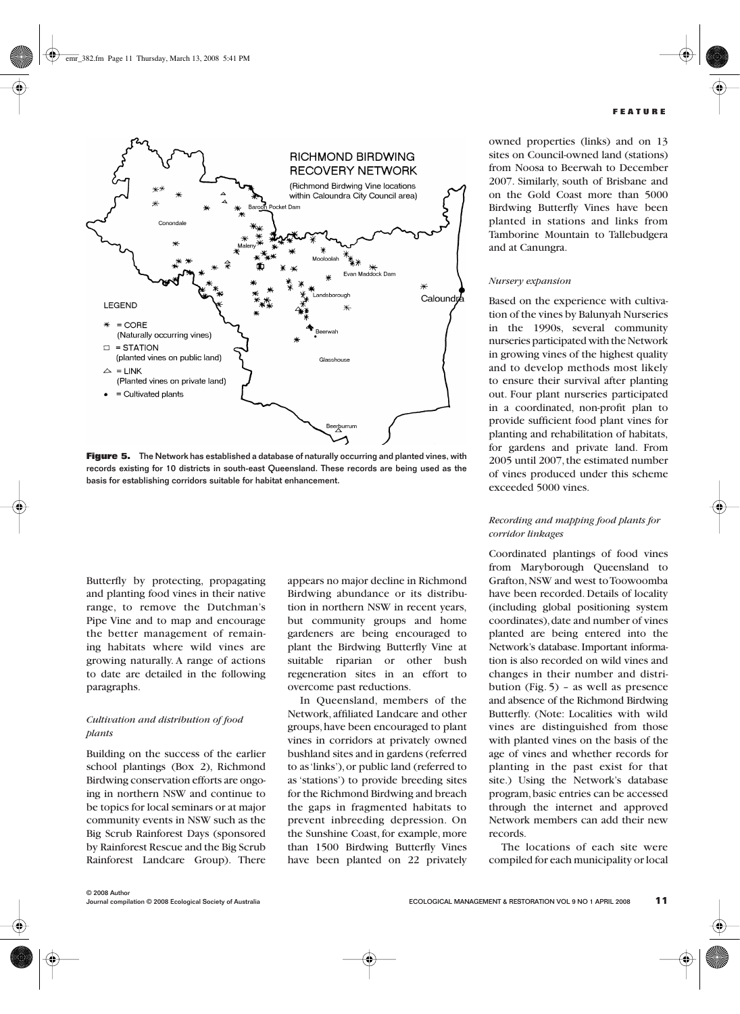

**Figure 5.** The Network has established a database of naturally occurring and planted vines, with records existing for 10 districts in south-east Queensland. These records are being used as the basis for establishing corridors suitable for habitat enhancement.

Butterfly by protecting, propagating and planting food vines in their native range, to remove the Dutchman's Pipe Vine and to map and encourage the better management of remaining habitats where wild vines are growing naturally. A range of actions to date are detailed in the following paragraphs.

# *Cultivation and distribution of food plants*

Building on the success of the earlier school plantings (Box 2), Richmond Birdwing conservation efforts are ongoing in northern NSW and continue to be topics for local seminars or at major community events in NSW such as the Big Scrub Rainforest Days (sponsored by Rainforest Rescue and the Big Scrub Rainforest Landcare Group). There

appears no major decline in Richmond Birdwing abundance or its distribution in northern NSW in recent years, but community groups and home gardeners are being encouraged to plant the Birdwing Butterfly Vine at suitable riparian or other bush regeneration sites in an effort to overcome past reductions.

In Queensland, members of the Network, affiliated Landcare and other groups, have been encouraged to plant vines in corridors at privately owned bushland sites and in gardens (referred to as 'links'), or public land (referred to as 'stations') to provide breeding sites for the Richmond Birdwing and breach the gaps in fragmented habitats to prevent inbreeding depression. On the Sunshine Coast, for example, more than 1500 Birdwing Butterfly Vines have been planted on 22 privately

owned properties (links) and on 13 sites on Council-owned land (stations) from Noosa to Beerwah to December 2007. Similarly, south of Brisbane and on the Gold Coast more than 5000 Birdwing Butterfly Vines have been planted in stations and links from Tamborine Mountain to Tallebudgera and at Canungra.

#### *Nursery expansion*

Based on the experience with cultivation of the vines by Balunyah Nurseries in the 1990s, several community nurseries participated with the Network in growing vines of the highest quality and to develop methods most likely to ensure their survival after planting out. Four plant nurseries participated in a coordinated, non-profit plan to provide sufficient food plant vines for planting and rehabilitation of habitats, for gardens and private land. From 2005 until 2007, the estimated number of vines produced under this scheme exceeded 5000 vines.

# *Recording and mapping food plants for corridor linkages*

Coordinated plantings of food vines from Maryborough Queensland to Grafton, NSW and west to Toowoomba have been recorded. Details of locality (including global positioning system coordinates), date and number of vines planted are being entered into the Network's database. Important information is also recorded on wild vines and changes in their number and distribution (Fig. 5) – as well as presence and absence of the Richmond Birdwing Butterfly. (Note: Localities with wild vines are distinguished from those with planted vines on the basis of the age of vines and whether records for planting in the past exist for that site.) Using the Network's database program, basic entries can be accessed through the internet and approved Network members can add their new records.

The locations of each site were compiled for each municipality or local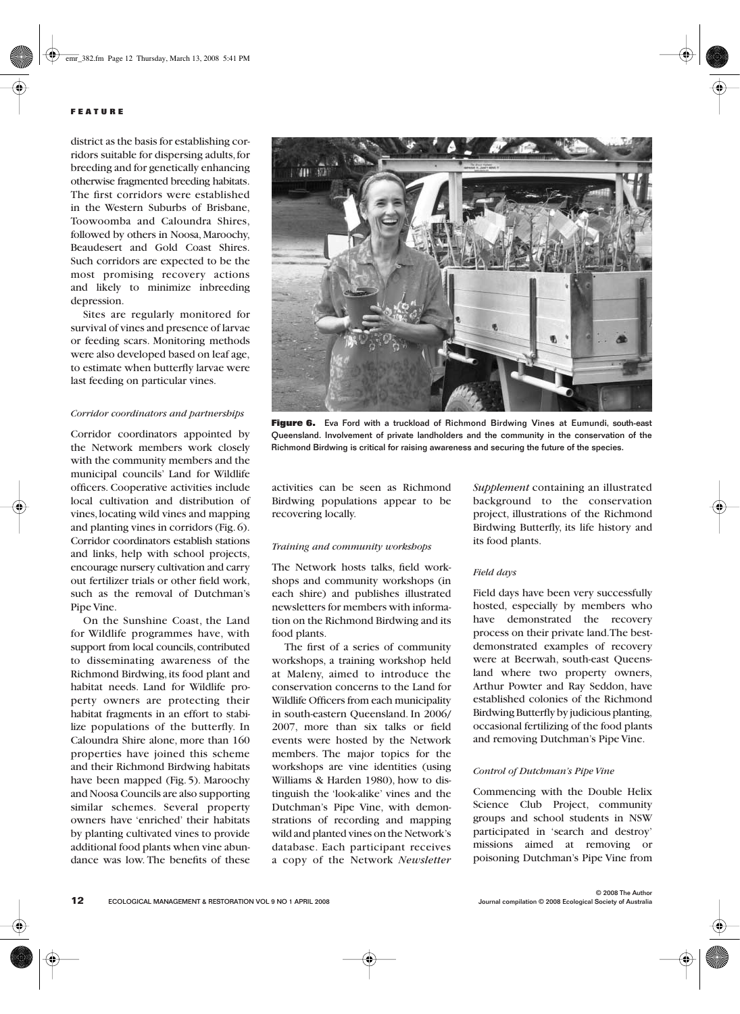#### **FEATURE**

district as the basis for establishing corridors suitable for dispersing adults, for breeding and for genetically enhancing otherwise fragmented breeding habitats. The first corridors were established in the Western Suburbs of Brisbane, Toowoomba and Caloundra Shires, followed by others in Noosa, Maroochy, Beaudesert and Gold Coast Shires. Such corridors are expected to be the most promising recovery actions and likely to minimize inbreeding depression.

Sites are regularly monitored for survival of vines and presence of larvae or feeding scars. Monitoring methods were also developed based on leaf age, to estimate when butterfly larvae were last feeding on particular vines.

#### *Corridor coordinators and partnerships*

Corridor coordinators appointed by the Network members work closely with the community members and the municipal councils' Land for Wildlife officers. Cooperative activities include local cultivation and distribution of vines, locating wild vines and mapping and planting vines in corridors (Fig. 6). Corridor coordinators establish stations and links, help with school projects, encourage nursery cultivation and carry out fertilizer trials or other field work, such as the removal of Dutchman's Pipe Vine.

On the Sunshine Coast, the Land for Wildlife programmes have, with support from local councils, contributed to disseminating awareness of the Richmond Birdwing, its food plant and habitat needs. Land for Wildlife property owners are protecting their habitat fragments in an effort to stabilize populations of the butterfly. In Caloundra Shire alone, more than 160 properties have joined this scheme and their Richmond Birdwing habitats have been mapped (Fig. 5). Maroochy and Noosa Councils are also supporting similar schemes. Several property owners have 'enriched' their habitats by planting cultivated vines to provide additional food plants when vine abundance was low. The benefits of these



**Figure 6.** Eva Ford with a truckload of Richmond Birdwing Vines at Eumundi, south-east Queensland. Involvement of private landholders and the community in the conservation of the Richmond Birdwing is critical for raising awareness and securing the future of the species.

activities can be seen as Richmond Birdwing populations appear to be recovering locally.

#### *Training and community workshops*

The Network hosts talks, field workshops and community workshops (in each shire) and publishes illustrated newsletters for members with information on the Richmond Birdwing and its food plants.

The first of a series of community workshops, a training workshop held at Maleny, aimed to introduce the conservation concerns to the Land for Wildlife Officers from each municipality in south-eastern Queensland. In 2006/ 2007, more than six talks or field events were hosted by the Network members. The major topics for the workshops are vine identities (using Williams & Harden 1980), how to distinguish the 'look-alike' vines and the Dutchman's Pipe Vine, with demonstrations of recording and mapping wild and planted vines on the Network's database. Each participant receives a copy of the Network *Newsletter*

*Supplement* containing an illustrated background to the conservation project, illustrations of the Richmond Birdwing Butterfly, its life history and its food plants.

#### *Field days*

Field days have been very successfully hosted, especially by members who have demonstrated the recovery process on their private land. The bestdemonstrated examples of recovery were at Beerwah, south-east Queensland where two property owners, Arthur Powter and Ray Seddon, have established colonies of the Richmond Birdwing Butterfly by judicious planting, occasional fertilizing of the food plants and removing Dutchman's Pipe Vine.

#### *Control of Dutchman's Pipe Vine*

Commencing with the Double Helix Science Club Project, community groups and school students in NSW participated in 'search and destroy' missions aimed at removing or poisoning Dutchman's Pipe Vine from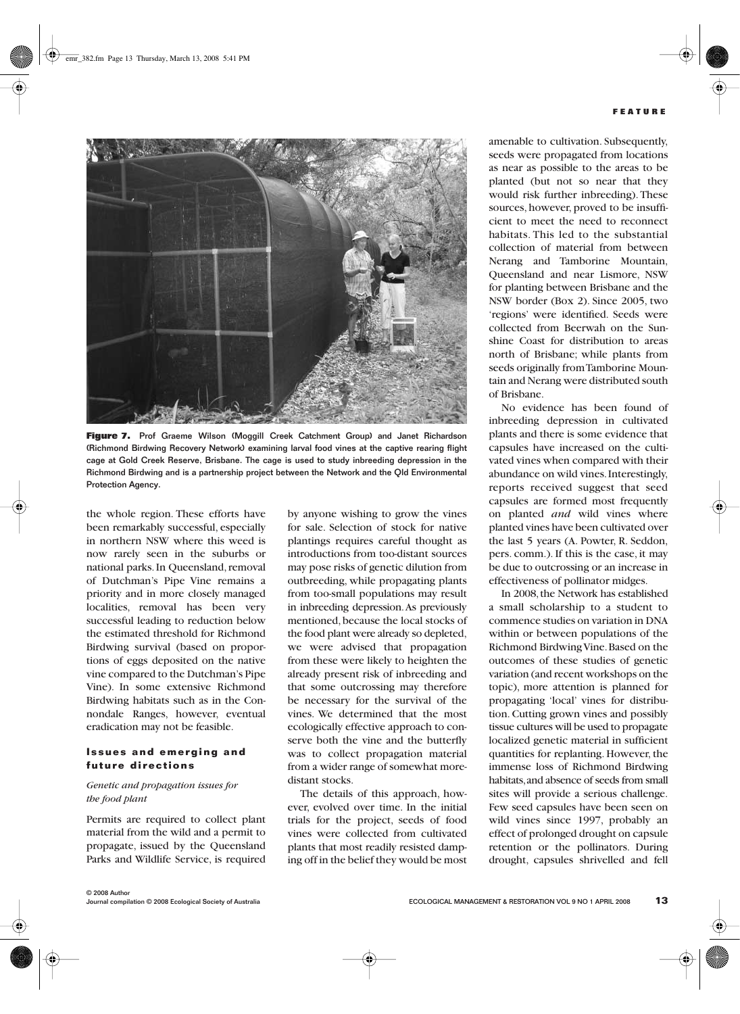

Figure 7. Prof Graeme Wilson (Moggill Creek Catchment Group) and Janet Richardson (Richmond Birdwing Recovery Network) examining larval food vines at the captive rearing flight cage at Gold Creek Reserve, Brisbane. The cage is used to study inbreeding depression in the Richmond Birdwing and is a partnership project between the Network and the Qld Environmental Protection Agency.

the whole region. These efforts have been remarkably successful, especially in northern NSW where this weed is now rarely seen in the suburbs or national parks. In Queensland, removal of Dutchman's Pipe Vine remains a priority and in more closely managed localities, removal has been very successful leading to reduction below the estimated threshold for Richmond Birdwing survival (based on proportions of eggs deposited on the native vine compared to the Dutchman's Pipe Vine). In some extensive Richmond Birdwing habitats such as in the Connondale Ranges, however, eventual eradication may not be feasible.

## **Issues and emerging and future directions**

## *Genetic and propagation issues for the food plant*

Permits are required to collect plant material from the wild and a permit to propagate, issued by the Queensland Parks and Wildlife Service, is required

by anyone wishing to grow the vines for sale. Selection of stock for native plantings requires careful thought as introductions from too-distant sources may pose risks of genetic dilution from outbreeding, while propagating plants from too-small populations may result in inbreeding depression. As previously mentioned, because the local stocks of the food plant were already so depleted, we were advised that propagation from these were likely to heighten the already present risk of inbreeding and that some outcrossing may therefore be necessary for the survival of the vines. We determined that the most ecologically effective approach to conserve both the vine and the butterfly was to collect propagation material from a wider range of somewhat moredistant stocks.

The details of this approach, however, evolved over time. In the initial trials for the project, seeds of food vines were collected from cultivated plants that most readily resisted damping off in the belief they would be most

amenable to cultivation. Subsequently, seeds were propagated from locations as near as possible to the areas to be planted (but not so near that they would risk further inbreeding). These sources, however, proved to be insufficient to meet the need to reconnect habitats. This led to the substantial collection of material from between Nerang and Tamborine Mountain, Queensland and near Lismore, NSW for planting between Brisbane and the NSW border (Box 2). Since 2005, two 'regions' were identified. Seeds were collected from Beerwah on the Sunshine Coast for distribution to areas north of Brisbane; while plants from seeds originally from Tamborine Mountain and Nerang were distributed south of Brisbane.

No evidence has been found of inbreeding depression in cultivated plants and there is some evidence that capsules have increased on the cultivated vines when compared with their abundance on wild vines. Interestingly, reports received suggest that seed capsules are formed most frequently on planted *and* wild vines where planted vines have been cultivated over the last 5 years (A. Powter, R. Seddon, pers. comm.). If this is the case, it may be due to outcrossing or an increase in effectiveness of pollinator midges.

In 2008, the Network has established a small scholarship to a student to commence studies on variation in DNA within or between populations of the Richmond Birdwing Vine. Based on the outcomes of these studies of genetic variation (and recent workshops on the topic), more attention is planned for propagating 'local' vines for distribution. Cutting grown vines and possibly tissue cultures will be used to propagate localized genetic material in sufficient quantities for replanting. However, the immense loss of Richmond Birdwing habitats, and absence of seeds from small sites will provide a serious challenge. Few seed capsules have been seen on wild vines since 1997, probably an effect of prolonged drought on capsule retention or the pollinators. During drought, capsules shrivelled and fell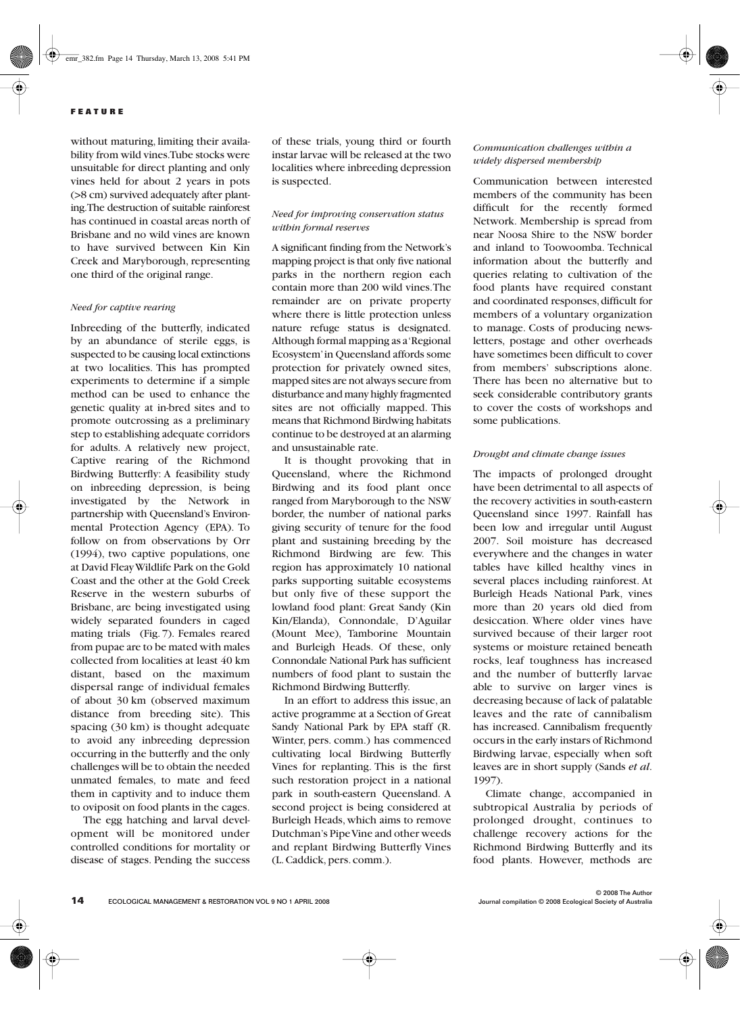without maturing, limiting their availability from wild vines. Tube stocks were unsuitable for direct planting and only vines held for about 2 years in pots (>8 cm) survived adequately after planting. The destruction of suitable rainforest has continued in coastal areas north of Brisbane and no wild vines are known to have survived between Kin Kin Creek and Maryborough, representing one third of the original range.

#### *Need for captive rearing*

Inbreeding of the butterfly, indicated by an abundance of sterile eggs, is suspected to be causing local extinctions at two localities. This has prompted experiments to determine if a simple method can be used to enhance the genetic quality at in-bred sites and to promote outcrossing as a preliminary step to establishing adequate corridors for adults. A relatively new project, Captive rearing of the Richmond Birdwing Butterfly: A feasibility study on inbreeding depression, is being investigated by the Network in partnership with Queensland's Environmental Protection Agency (EPA). To follow on from observations by Orr (1994), two captive populations, one at David Fleay Wildlife Park on the Gold Coast and the other at the Gold Creek Reserve in the western suburbs of Brisbane, are being investigated using widely separated founders in caged mating trials (Fig. 7). Females reared from pupae are to be mated with males collected from localities at least 40 km distant, based on the maximum dispersal range of individual females of about 30 km (observed maximum distance from breeding site). This spacing (30 km) is thought adequate to avoid any inbreeding depression occurring in the butterfly and the only challenges will be to obtain the needed unmated females, to mate and feed them in captivity and to induce them to oviposit on food plants in the cages.

The egg hatching and larval development will be monitored under controlled conditions for mortality or disease of stages. Pending the success of these trials, young third or fourth instar larvae will be released at the two localities where inbreeding depression is suspected.

## *Need for improving conservation status within formal reserves*

A significant finding from the Network's mapping project is that only five national parks in the northern region each contain more than 200 wild vines. The remainder are on private property where there is little protection unless nature refuge status is designated. Although formal mapping as a 'Regional Ecosystem' in Queensland affords some protection for privately owned sites, mapped sites are not always secure from disturbance and many highly fragmented sites are not officially mapped. This means that Richmond Birdwing habitats continue to be destroyed at an alarming and unsustainable rate.

It is thought provoking that in Queensland, where the Richmond Birdwing and its food plant once ranged from Maryborough to the NSW border, the number of national parks giving security of tenure for the food plant and sustaining breeding by the Richmond Birdwing are few. This region has approximately 10 national parks supporting suitable ecosystems but only five of these support the lowland food plant: Great Sandy (Kin Kin/Elanda), Connondale, D'Aguilar (Mount Mee), Tamborine Mountain and Burleigh Heads. Of these, only Connondale National Park has sufficient numbers of food plant to sustain the Richmond Birdwing Butterfly.

In an effort to address this issue, an active programme at a Section of Great Sandy National Park by EPA staff (R. Winter, pers. comm.) has commenced cultivating local Birdwing Butterfly Vines for replanting. This is the first such restoration project in a national park in south-eastern Queensland. A second project is being considered at Burleigh Heads, which aims to remove Dutchman's Pipe Vine and other weeds and replant Birdwing Butterfly Vines (L. Caddick, pers. comm.).

# *Communication challenges within a widely dispersed membership*

Communication between interested members of the community has been difficult for the recently formed Network. Membership is spread from near Noosa Shire to the NSW border and inland to Toowoomba. Technical information about the butterfly and queries relating to cultivation of the food plants have required constant and coordinated responses, difficult for members of a voluntary organization to manage. Costs of producing newsletters, postage and other overheads have sometimes been difficult to cover from members' subscriptions alone. There has been no alternative but to seek considerable contributory grants to cover the costs of workshops and some publications.

#### *Drought and climate change issues*

The impacts of prolonged drought have been detrimental to all aspects of the recovery activities in south-eastern Queensland since 1997. Rainfall has been low and irregular until August 2007. Soil moisture has decreased everywhere and the changes in water tables have killed healthy vines in several places including rainforest. At Burleigh Heads National Park, vines more than 20 years old died from desiccation. Where older vines have survived because of their larger root systems or moisture retained beneath rocks, leaf toughness has increased and the number of butterfly larvae able to survive on larger vines is decreasing because of lack of palatable leaves and the rate of cannibalism has increased. Cannibalism frequently occurs in the early instars of Richmond Birdwing larvae, especially when soft leaves are in short supply (Sands *et al*. 1997).

Climate change, accompanied in subtropical Australia by periods of prolonged drought, continues to challenge recovery actions for the Richmond Birdwing Butterfly and its food plants. However, methods are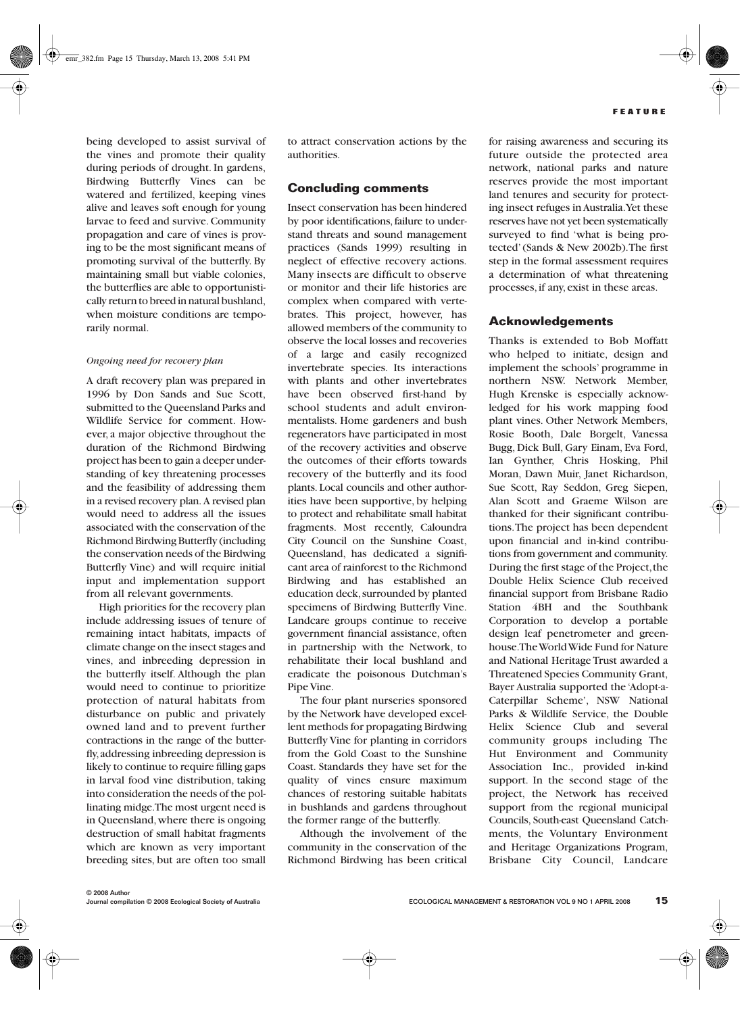being developed to assist survival of the vines and promote their quality during periods of drought. In gardens, Birdwing Butterfly Vines can be watered and fertilized, keeping vines alive and leaves soft enough for young larvae to feed and survive. Community propagation and care of vines is proving to be the most significant means of promoting survival of the butterfly. By maintaining small but viable colonies, the butterflies are able to opportunistically return to breed in natural bushland, when moisture conditions are temporarily normal.

#### *Ongoing need for recovery plan*

A draft recovery plan was prepared in 1996 by Don Sands and Sue Scott, submitted to the Queensland Parks and Wildlife Service for comment. However, a major objective throughout the duration of the Richmond Birdwing project has been to gain a deeper understanding of key threatening processes and the feasibility of addressing them in a revised recovery plan. A revised plan would need to address all the issues associated with the conservation of the Richmond Birdwing Butterfly (including the conservation needs of the Birdwing Butterfly Vine) and will require initial input and implementation support from all relevant governments.

High priorities for the recovery plan include addressing issues of tenure of remaining intact habitats, impacts of climate change on the insect stages and vines, and inbreeding depression in the butterfly itself. Although the plan would need to continue to prioritize protection of natural habitats from disturbance on public and privately owned land and to prevent further contractions in the range of the butterfly, addressing inbreeding depression is likely to continue to require filling gaps in larval food vine distribution, taking into consideration the needs of the pollinating midge. The most urgent need is in Queensland, where there is ongoing destruction of small habitat fragments which are known as very important breeding sites, but are often too small

to attract conservation actions by the authorities.

## **Concluding comments**

Insect conservation has been hindered by poor identifications, failure to understand threats and sound management practices (Sands 1999) resulting in neglect of effective recovery actions. Many insects are difficult to observe or monitor and their life histories are complex when compared with vertebrates. This project, however, has allowed members of the community to observe the local losses and recoveries of a large and easily recognized invertebrate species. Its interactions with plants and other invertebrates have been observed first-hand by school students and adult environmentalists. Home gardeners and bush regenerators have participated in most of the recovery activities and observe the outcomes of their efforts towards recovery of the butterfly and its food plants. Local councils and other authorities have been supportive, by helping to protect and rehabilitate small habitat fragments. Most recently, Caloundra City Council on the Sunshine Coast, Queensland, has dedicated a significant area of rainforest to the Richmond Birdwing and has established an education deck, surrounded by planted specimens of Birdwing Butterfly Vine. Landcare groups continue to receive government financial assistance, often in partnership with the Network, to rehabilitate their local bushland and eradicate the poisonous Dutchman's Pipe Vine.

The four plant nurseries sponsored by the Network have developed excellent methods for propagating Birdwing Butterfly Vine for planting in corridors from the Gold Coast to the Sunshine Coast. Standards they have set for the quality of vines ensure maximum chances of restoring suitable habitats in bushlands and gardens throughout the former range of the butterfly.

Although the involvement of the community in the conservation of the Richmond Birdwing has been critical

for raising awareness and securing its future outside the protected area network, national parks and nature reserves provide the most important land tenures and security for protecting insect refuges in Australia. Yet these reserves have not yet been systematically surveyed to find 'what is being protected' (Sands & New 2002b). The first step in the formal assessment requires a determination of what threatening processes, if any, exist in these areas.

#### **Acknowledgements**

Thanks is extended to Bob Moffatt who helped to initiate, design and implement the schools' programme in northern NSW. Network Member, Hugh Krenske is especially acknowledged for his work mapping food plant vines. Other Network Members, Rosie Booth, Dale Borgelt, Vanessa Bugg, Dick Bull, Gary Einam, Eva Ford, Ian Gynther, Chris Hosking, Phil Moran, Dawn Muir, Janet Richardson, Sue Scott, Ray Seddon, Greg Siepen, Alan Scott and Graeme Wilson are thanked for their significant contributions. The project has been dependent upon financial and in-kind contributions from government and community. During the first stage of the Project, the Double Helix Science Club received financial support from Brisbane Radio Station 4BH and the Southbank Corporation to develop a portable design leaf penetrometer and greenhouse. The World Wide Fund for Nature and National Heritage Trust awarded a Threatened Species Community Grant, Bayer Australia supported the 'Adopt-a-Caterpillar Scheme', NSW National Parks & Wildlife Service, the Double Helix Science Club and several community groups including The Hut Environment and Community Association Inc., provided in-kind support. In the second stage of the project, the Network has received support from the regional municipal Councils, South-east Queensland Catchments, the Voluntary Environment and Heritage Organizations Program, Brisbane City Council, Landcare